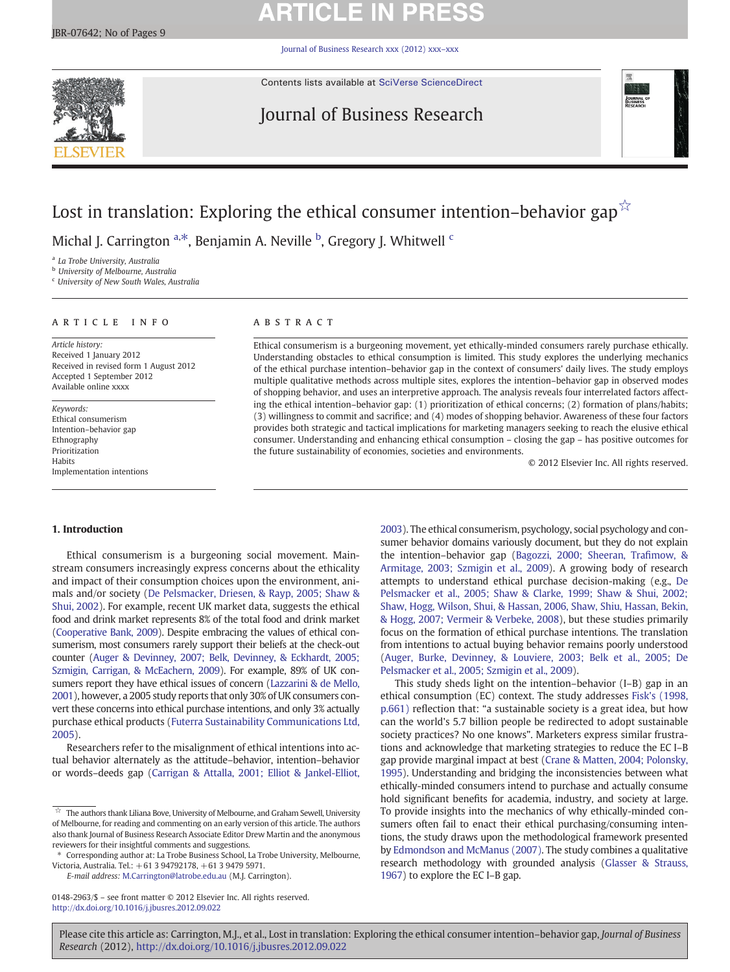# **ARTICLE IN PRESS**

[Journal of Business Research xxx \(2012\) xxx](http://dx.doi.org/10.1016/j.jbusres.2012.09.022)–xxx

Contents lists available at [SciVerse ScienceDirect](http://www.sciencedirect.com/science/journal/01482963)

## Journal of Business Research



## Lost in translation: Exploring the ethical consumer intention–behavior gap $\sqrt{x}$

Michal J. Carrington <sup>a,\*</sup>, Benjamin A. Neville <sup>b</sup>, Gregory J. Whitwell <sup>c</sup>

<sup>a</sup> La Trobe University, Australia

**b** University of Melbourne, Australia

<sup>c</sup> University of New South Wales, Australia

### ARTICLE INFO ABSTRACT

Article history: Received 1 January 2012 Received in revised form 1 August 2012 Accepted 1 September 2012 Available online xxxx

Keywords: Ethical consumerism Intention–behavior gap Ethnography Prioritization Habits Implementation intentions

Ethical consumerism is a burgeoning movement, yet ethically-minded consumers rarely purchase ethically. Understanding obstacles to ethical consumption is limited. This study explores the underlying mechanics of the ethical purchase intention–behavior gap in the context of consumers' daily lives. The study employs multiple qualitative methods across multiple sites, explores the intention–behavior gap in observed modes of shopping behavior, and uses an interpretive approach. The analysis reveals four interrelated factors affecting the ethical intention–behavior gap: (1) prioritization of ethical concerns; (2) formation of plans/habits; (3) willingness to commit and sacrifice; and (4) modes of shopping behavior. Awareness of these four factors provides both strategic and tactical implications for marketing managers seeking to reach the elusive ethical consumer. Understanding and enhancing ethical consumption – closing the gap – has positive outcomes for the future sustainability of economies, societies and environments.

© 2012 Elsevier Inc. All rights reserved.

### 1. Introduction

Ethical consumerism is a burgeoning social movement. Mainstream consumers increasingly express concerns about the ethicality and impact of their consumption choices upon the environment, animals and/or society ([De Pelsmacker, Driesen, & Rayp, 2005; Shaw &](#page--1-0) [Shui, 2002\)](#page--1-0). For example, recent UK market data, suggests the ethical food and drink market represents 8% of the total food and drink market [\(Cooperative Bank, 2009\)](#page--1-0). Despite embracing the values of ethical consumerism, most consumers rarely support their beliefs at the check-out counter [\(Auger & Devinney, 2007; Belk,](#page--1-0) Devinney, & Eckhardt, 2005; [Szmigin, Carrigan, & McEachern, 2009](#page--1-0)). For example, 89% of UK consumers report they have ethical issues of concern ([Lazzarini & de Mello,](#page--1-0) [2001\)](#page--1-0), however, a 2005 study reports that only 30% of UK consumers convert these concerns into ethical purchase intentions, and only 3% actually purchase ethical products ([Futerra Sustainability Communications Ltd,](#page--1-0) [2005\)](#page--1-0).

Researchers refer to the misalignment of ethical intentions into actual behavior alternately as the attitude–behavior, intention–behavior or words–deeds gap [\(Carrigan & Attalla, 2001; Elliot & Jankel-Elliot,](#page--1-0)

E-mail address: [M.Carrington@latrobe.edu.au](mailto:M.Carrington@latrobe.edu.au) (M.J. Carrington).

0148-2963/\$ – see front matter © 2012 Elsevier Inc. All rights reserved. <http://dx.doi.org/10.1016/j.jbusres.2012.09.022>

[2003](#page--1-0)). The ethical consumerism, psychology, social psychology and consumer behavior domains variously document, but they do not explain the intention–behavior gap [\(Bagozzi, 2000; Sheeran, Tra](#page--1-0)fimow, & [Armitage, 2003; Szmigin et al., 2009\)](#page--1-0). A growing body of research attempts to understand ethical purchase decision-making (e.g., [De](#page--1-0) [Pelsmacker et al., 2005; Shaw & Clarke, 1999; Shaw & Shui, 2002;](#page--1-0) [Shaw, Hogg, Wilson, Shui, & Hassan, 2006, Shaw, Shiu, Hassan, Bekin,](#page--1-0) [& Hogg, 2007; Vermeir & Verbeke, 2008](#page--1-0)), but these studies primarily focus on the formation of ethical purchase intentions. The translation from intentions to actual buying behavior remains poorly understood [\(Auger, Burke, Devinney, & Louviere, 2003; Belk et al., 2005; De](#page--1-0) [Pelsmacker et al., 2005; Szmigin et al., 2009](#page--1-0)).

This study sheds light on the intention–behavior (I–B) gap in an ethical consumption (EC) context. The study addresses [Fisk's \(1998,](#page--1-0) [p.661\)](#page--1-0) reflection that: "a sustainable society is a great idea, but how can the world's 5.7 billion people be redirected to adopt sustainable society practices? No one knows". Marketers express similar frustrations and acknowledge that marketing strategies to reduce the EC I–B gap provide marginal impact at best [\(Crane & Matten, 2004; Polonsky,](#page--1-0) [1995](#page--1-0)). Understanding and bridging the inconsistencies between what ethically-minded consumers intend to purchase and actually consume hold significant benefits for academia, industry, and society at large. To provide insights into the mechanics of why ethically-minded consumers often fail to enact their ethical purchasing/consuming intentions, the study draws upon the methodological framework presented by [Edmondson and McManus \(2007\).](#page--1-0) The study combines a qualitative research methodology with grounded analysis ([Glasser & Strauss,](#page--1-0) [1967](#page--1-0)) to explore the EC I–B gap.

Please cite this article as: Carrington, M.J., et al., Lost in translation: Exploring the ethical consumer intention–behavior gap, Journal of Business Research (2012), <http://dx.doi.org/10.1016/j.jbusres.2012.09.022>

 $\hat{\mathbb{X}}$  The authors thank Liliana Bove, University of Melbourne, and Graham Sewell, University of Melbourne, for reading and commenting on an early version of this article. The authors also thank Journal of Business Research Associate Editor Drew Martin and the anonymous reviewers for their insightful comments and suggestions.

<sup>⁎</sup> Corresponding author at: La Trobe Business School, La Trobe University, Melbourne, Victoria, Australia. Tel.: +61 3 94792178, +61 3 9479 5971.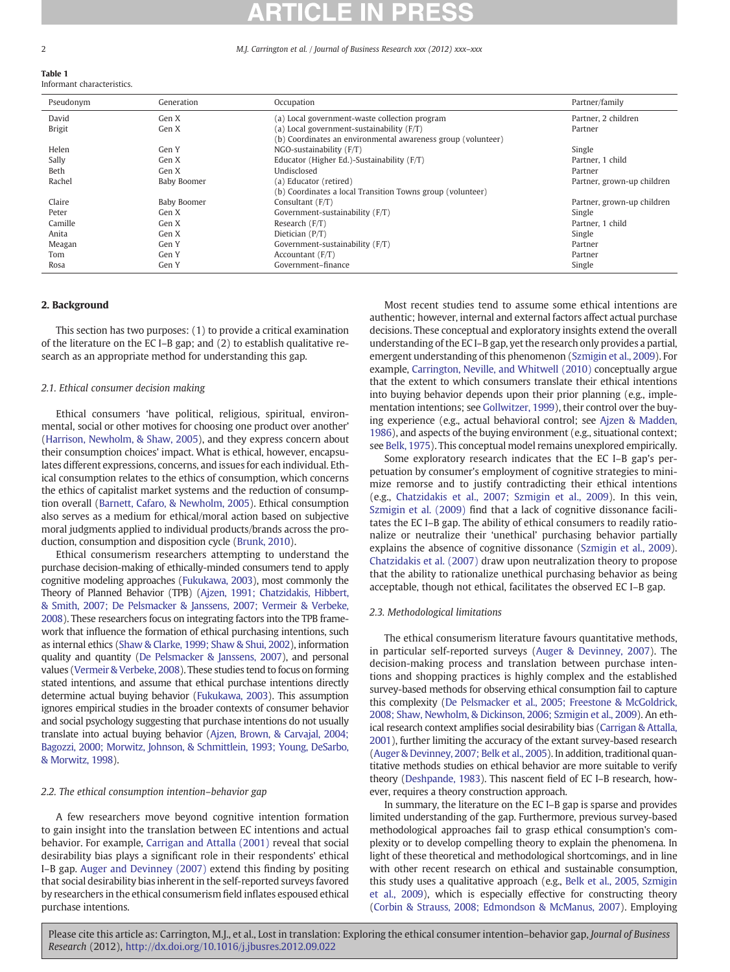#### 2 M.J. Carrington et al. / Journal of Business Research xxx (2012) xxx–xxx

Table 1 Informant characteristics.

| Pseudonym     | Generation  | Occupation                                                   | Partner/family             |
|---------------|-------------|--------------------------------------------------------------|----------------------------|
| David         | Gen X       | (a) Local government-waste collection program                | Partner, 2 children        |
| <b>Brigit</b> | Gen X       | (a) Local government-sustainability $(F/T)$                  | Partner                    |
|               |             | (b) Coordinates an environmental awareness group (volunteer) |                            |
| Helen         | Gen Y       | $NGO$ -sustainability $(F/T)$                                | Single                     |
| Sally         | Gen X       | Educator (Higher Ed.)-Sustainability (F/T)                   | Partner, 1 child           |
| Beth          | Gen X       | Undisclosed                                                  | Partner                    |
| Rachel        | Baby Boomer | (a) Educator (retired)                                       | Partner, grown-up children |
|               |             | (b) Coordinates a local Transition Towns group (volunteer)   |                            |
| Claire        | Baby Boomer | Consultant $(F/T)$                                           | Partner, grown-up children |
| Peter         | Gen X       | Government-sustainability (F/T)                              | Single                     |
| Camille       | Gen X       | Research $(F/T)$                                             | Partner, 1 child           |
| Anita         | Gen X       | Dietician $(P/T)$                                            | Single                     |
| Meagan        | Gen Y       | Government-sustainability (F/T)                              | Partner                    |
| Tom           | Gen Y       | Accountant $(F/T)$                                           | Partner                    |
| Rosa          | Gen Y       | Government-finance                                           | Single                     |

#### 2. Background

This section has two purposes: (1) to provide a critical examination of the literature on the EC I–B gap; and (2) to establish qualitative research as an appropriate method for understanding this gap.

### 2.1. Ethical consumer decision making

Ethical consumers 'have political, religious, spiritual, environmental, social or other motives for choosing one product over another' [\(Harrison, Newholm, & Shaw, 2005\)](#page--1-0), and they express concern about their consumption choices' impact. What is ethical, however, encapsulates different expressions, concerns, and issues for each individual. Ethical consumption relates to the ethics of consumption, which concerns the ethics of capitalist market systems and the reduction of consumption overall ([Barnett, Cafaro, & Newholm, 2005\)](#page--1-0). Ethical consumption also serves as a medium for ethical/moral action based on subjective moral judgments applied to individual products/brands across the production, consumption and disposition cycle [\(Brunk, 2010\)](#page--1-0).

Ethical consumerism researchers attempting to understand the purchase decision-making of ethically-minded consumers tend to apply cognitive modeling approaches [\(Fukukawa, 2003](#page--1-0)), most commonly the Theory of Planned Behavior (TPB) ([Ajzen, 1991; Chatzidakis, Hibbert,](#page--1-0) [& Smith, 2007; De Pelsmacker & Janssens, 2007; Vermeir & Verbeke,](#page--1-0) [2008](#page--1-0)). These researchers focus on integrating factors into the TPB framework that influence the formation of ethical purchasing intentions, such as internal ethics [\(Shaw & Clarke, 1999; Shaw & Shui, 2002\)](#page--1-0), information quality and quantity ([De Pelsmacker & Janssens, 2007\)](#page--1-0), and personal values ([Vermeir & Verbeke, 2008\)](#page--1-0). These studies tend to focus on forming stated intentions, and assume that ethical purchase intentions directly determine actual buying behavior ([Fukukawa, 2003\)](#page--1-0). This assumption ignores empirical studies in the broader contexts of consumer behavior and social psychology suggesting that purchase intentions do not usually translate into actual buying behavior ([Ajzen, Brown, & Carvajal, 2004;](#page--1-0) [Bagozzi, 2000; Morwitz, Johnson, & Schmittlein, 1993; Young, DeSarbo,](#page--1-0) [& Morwitz, 1998](#page--1-0)).

#### 2.2. The ethical consumption intention–behavior gap

A few researchers move beyond cognitive intention formation to gain insight into the translation between EC intentions and actual behavior. For example, [Carrigan and Attalla \(2001\)](#page--1-0) reveal that social desirability bias plays a significant role in their respondents' ethical I–B gap. [Auger and Devinney \(2007\)](#page--1-0) extend this finding by positing that social desirability bias inherent in the self-reported surveys favored by researchers in the ethical consumerism field inflates espoused ethical purchase intentions.

Most recent studies tend to assume some ethical intentions are authentic; however, internal and external factors affect actual purchase decisions. These conceptual and exploratory insights extend the overall understanding of the EC I–B gap, yet the research only provides a partial, emergent understanding of this phenomenon ([Szmigin et al., 2009\)](#page--1-0). For example, [Carrington, Neville, and Whitwell \(2010\)](#page--1-0) conceptually argue that the extent to which consumers translate their ethical intentions into buying behavior depends upon their prior planning (e.g., implementation intentions; see [Gollwitzer, 1999\)](#page--1-0), their control over the buying experience (e.g., actual behavioral control; see [Ajzen & Madden,](#page--1-0) [1986\)](#page--1-0), and aspects of the buying environment (e.g., situational context; see [Belk, 1975](#page--1-0)). This conceptual model remains unexplored empirically.

Some exploratory research indicates that the EC I–B gap's perpetuation by consumer's employment of cognitive strategies to minimize remorse and to justify contradicting their ethical intentions (e.g., [Chatzidakis et al., 2007; Szmigin et al., 2009\)](#page--1-0). In this vein, [Szmigin et al. \(2009\)](#page--1-0) find that a lack of cognitive dissonance facilitates the EC I–B gap. The ability of ethical consumers to readily rationalize or neutralize their 'unethical' purchasing behavior partially explains the absence of cognitive dissonance [\(Szmigin et al., 2009](#page--1-0)). [Chatzidakis et al. \(2007\)](#page--1-0) draw upon neutralization theory to propose that the ability to rationalize unethical purchasing behavior as being acceptable, though not ethical, facilitates the observed EC I–B gap.

#### 2.3. Methodological limitations

The ethical consumerism literature favours quantitative methods, in particular self-reported surveys ([Auger & Devinney, 2007](#page--1-0)). The decision-making process and translation between purchase intentions and shopping practices is highly complex and the established survey-based methods for observing ethical consumption fail to capture this complexity [\(De Pelsmacker et al., 2005; Freestone & McGoldrick,](#page--1-0) [2008; Shaw, Newholm, & Dickinson, 2006; Szmigin et al., 2009\)](#page--1-0). An ethical research context amplifies social desirability bias ([Carrigan & Attalla,](#page--1-0) [2001](#page--1-0)), further limiting the accuracy of the extant survey-based research [\(Auger & Devinney, 2007; Belk et al., 2005](#page--1-0)). In addition, traditional quantitative methods studies on ethical behavior are more suitable to verify theory ([Deshpande, 1983](#page--1-0)). This nascent field of EC I–B research, however, requires a theory construction approach.

In summary, the literature on the EC I–B gap is sparse and provides limited understanding of the gap. Furthermore, previous survey-based methodological approaches fail to grasp ethical consumption's complexity or to develop compelling theory to explain the phenomena. In light of these theoretical and methodological shortcomings, and in line with other recent research on ethical and sustainable consumption, this study uses a qualitative approach (e.g., [Belk et al., 2005, Szmigin](#page--1-0) [et al., 2009](#page--1-0)), which is especially effective for constructing theory [\(Corbin & Strauss, 2008; Edmondson & McManus, 2007](#page--1-0)). Employing

Please cite this article as: Carrington, M.J., et al., Lost in translation: Exploring the ethical consumer intention-behavior gap, Journal of Business Research (2012), <http://dx.doi.org/10.1016/j.jbusres.2012.09.022>